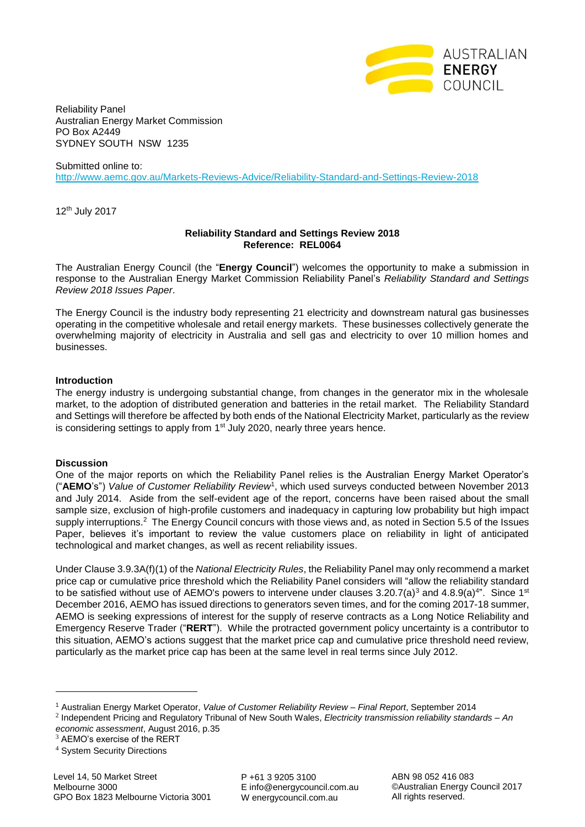

Reliability Panel Australian Energy Market Commission PO Box A2449 SYDNEY SOUTH NSW 1235

Submitted online to: <http://www.aemc.gov.au/Markets-Reviews-Advice/Reliability-Standard-and-Settings-Review-2018>

12th July 2017

## **Reliability Standard and Settings Review 2018 Reference: REL0064**

The Australian Energy Council (the "**Energy Council**") welcomes the opportunity to make a submission in response to the Australian Energy Market Commission Reliability Panel's *Reliability Standard and Settings Review 2018 Issues Paper*.

The Energy Council is the industry body representing 21 electricity and downstream natural gas businesses operating in the competitive wholesale and retail energy markets. These businesses collectively generate the overwhelming majority of electricity in Australia and sell gas and electricity to over 10 million homes and businesses.

## **Introduction**

The energy industry is undergoing substantial change, from changes in the generator mix in the wholesale market, to the adoption of distributed generation and batteries in the retail market. The Reliability Standard and Settings will therefore be affected by both ends of the National Electricity Market, particularly as the review is considering settings to apply from 1<sup>st</sup> July 2020, nearly three years hence.

## **Discussion**

One of the major reports on which the Reliability Panel relies is the Australian Energy Market Operator's ("**AEMO**'s") *Value of Customer Reliability Review*<sup>1</sup> , which used surveys conducted between November 2013 and July 2014. Aside from the self-evident age of the report, concerns have been raised about the small sample size, exclusion of high-profile customers and inadequacy in capturing low probability but high impact supply interruptions.<sup>2</sup> The Energy Council concurs with those views and, as noted in Section 5.5 of the Issues Paper, believes it's important to review the value customers place on reliability in light of anticipated technological and market changes, as well as recent reliability issues.

Under Clause 3.9.3A(f)(1) of the *National Electricity Rules*, the Reliability Panel may only recommend a market price cap or cumulative price threshold which the Reliability Panel considers will "allow the reliability standard to be satisfied without use of AEMO's powers to intervene under clauses 3.20.7(a)<sup>3</sup> and 4.8.9(a)<sup>4</sup>". Since 1<sup>st</sup> December 2016, AEMO has issued directions to generators seven times, and for the coming 2017-18 summer, AEMO is seeking expressions of interest for the supply of reserve contracts as a Long Notice Reliability and Emergency Reserve Trader ("**RERT**"). While the protracted government policy uncertainty is a contributor to this situation, AEMO's actions suggest that the market price cap and cumulative price threshold need review, particularly as the market price cap has been at the same level in real terms since July 2012.

È,

P +61 3 9205 3100 E info@energycouncil.com.au W energycouncil.com.au

ABN 98 052 416 083 ©Australian Energy Council 2017 All rights reserved.

<sup>1</sup> Australian Energy Market Operator, *Value of Customer Reliability Review – Final Report*, September 2014

<sup>2</sup> Independent Pricing and Regulatory Tribunal of New South Wales, *Electricity transmission reliability standards – An economic assessment*, August 2016, p.35

<sup>&</sup>lt;sup>3</sup> AEMO's exercise of the RERT

<sup>4</sup> System Security Directions